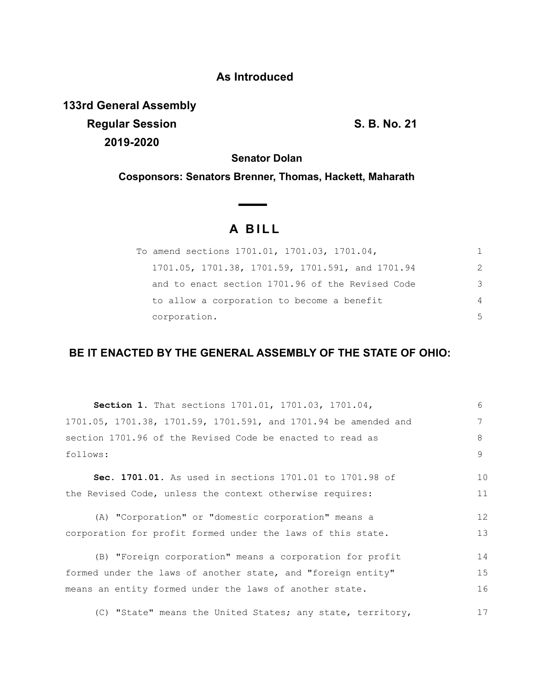# **As Introduced**

**133rd General Assembly Regular Session S. B. No. 21 2019-2020**

**Senator Dolan**

**Cosponsors: Senators Brenner, Thomas, Hackett, Maharath**

 $\overline{\phantom{a}}$ 

# **A B I L L**

| To amend sections 1701.01, 1701.03, 1701.04,     |   |
|--------------------------------------------------|---|
| 1701.05, 1701.38, 1701.59, 1701.591, and 1701.94 | 2 |
| and to enact section 1701.96 of the Revised Code | 3 |
| to allow a corporation to become a benefit       | 4 |
| corporation.                                     | 5 |

# **BE IT ENACTED BY THE GENERAL ASSEMBLY OF THE STATE OF OHIO:**

| <b>Section 1.</b> That sections 1701.01, 1701.03, 1701.04,      | $6^{\circ}$ |
|-----------------------------------------------------------------|-------------|
| 1701.05, 1701.38, 1701.59, 1701.591, and 1701.94 be amended and | 7           |
| section 1701.96 of the Revised Code be enacted to read as       | 8           |
| follows:                                                        | 9           |
| Sec. 1701.01. As used in sections 1701.01 to 1701.98 of         | 10          |
| the Revised Code, unless the context otherwise requires:        | 11          |
| (A) "Corporation" or "domestic corporation" means a             | 12          |
| corporation for profit formed under the laws of this state.     | 13          |
| (B) "Foreign corporation" means a corporation for profit        | 14          |
| formed under the laws of another state, and "foreign entity"    | 15          |
| means an entity formed under the laws of another state.         | 16          |
| (C) "State" means the United States; any state, territory,      | 17          |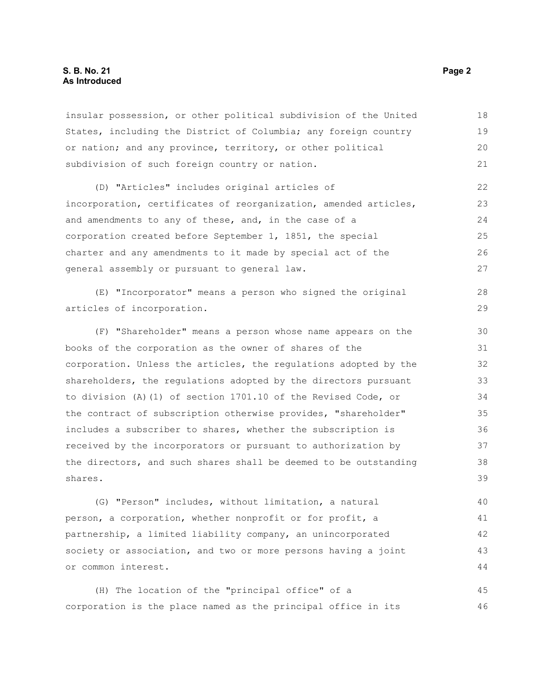### **S. B. No. 21 Page 2 As Introduced**

insular possession, or other political subdivision of the United States, including the District of Columbia; any foreign country or nation; and any province, territory, or other political subdivision of such foreign country or nation. 18 19 20 21

(D) "Articles" includes original articles of incorporation, certificates of reorganization, amended articles, and amendments to any of these, and, in the case of a corporation created before September 1, 1851, the special charter and any amendments to it made by special act of the general assembly or pursuant to general law. 22 23  $24$ 25 26 27

(E) "Incorporator" means a person who signed the original articles of incorporation. 28 29

(F) "Shareholder" means a person whose name appears on the books of the corporation as the owner of shares of the corporation. Unless the articles, the regulations adopted by the shareholders, the regulations adopted by the directors pursuant to division (A)(1) of section 1701.10 of the Revised Code, or the contract of subscription otherwise provides, "shareholder" includes a subscriber to shares, whether the subscription is received by the incorporators or pursuant to authorization by the directors, and such shares shall be deemed to be outstanding shares. 30 31 32 33 34 35 36 37 38 39

(G) "Person" includes, without limitation, a natural person, a corporation, whether nonprofit or for profit, a partnership, a limited liability company, an unincorporated society or association, and two or more persons having a joint or common interest. 40 41 42 43 44

(H) The location of the "principal office" of a corporation is the place named as the principal office in its 45 46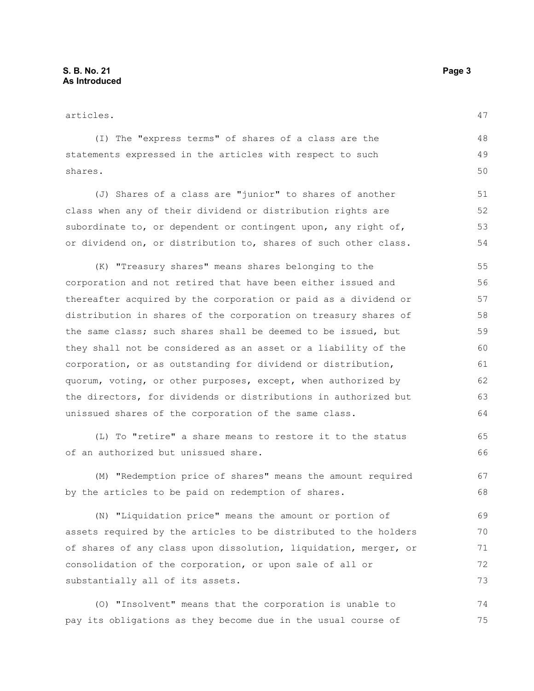articles. (I) The "express terms" of shares of a class are the statements expressed in the articles with respect to such shares. (J) Shares of a class are "junior" to shares of another class when any of their dividend or distribution rights are subordinate to, or dependent or contingent upon, any right of, or dividend on, or distribution to, shares of such other class. (K) "Treasury shares" means shares belonging to the corporation and not retired that have been either issued and thereafter acquired by the corporation or paid as a dividend or distribution in shares of the corporation on treasury shares of the same class; such shares shall be deemed to be issued, but they shall not be considered as an asset or a liability of the corporation, or as outstanding for dividend or distribution, quorum, voting, or other purposes, except, when authorized by the directors, for dividends or distributions in authorized but unissued shares of the corporation of the same class. (L) To "retire" a share means to restore it to the status of an authorized but unissued share. 47 48 49 50 51 52 53 54 55 56 57 58 59 60 61 62 63 64 65 66 67

(M) "Redemption price of shares" means the amount required by the articles to be paid on redemption of shares. 68

(N) "Liquidation price" means the amount or portion of assets required by the articles to be distributed to the holders of shares of any class upon dissolution, liquidation, merger, or consolidation of the corporation, or upon sale of all or substantially all of its assets. 69 70 71 72 73

(O) "Insolvent" means that the corporation is unable to pay its obligations as they become due in the usual course of 74 75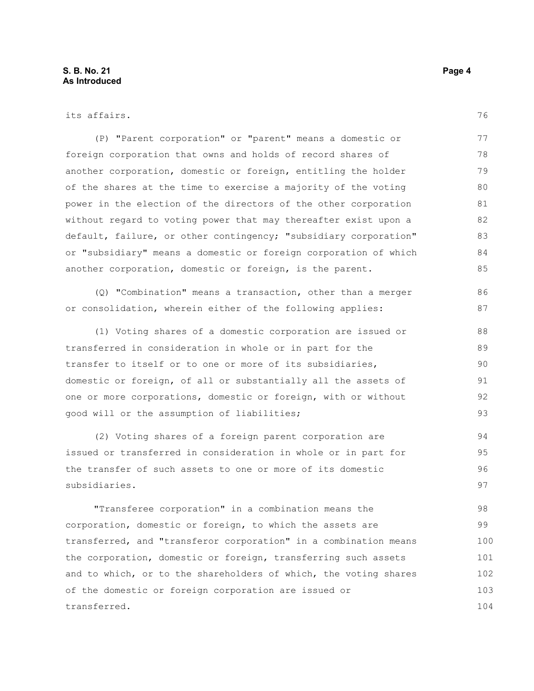transferred.

103 104

| its affairs.                                                     | 76  |
|------------------------------------------------------------------|-----|
| (P) "Parent corporation" or "parent" means a domestic or         | 77  |
| foreign corporation that owns and holds of record shares of      | 78  |
| another corporation, domestic or foreign, entitling the holder   | 79  |
| of the shares at the time to exercise a majority of the voting   | 80  |
| power in the election of the directors of the other corporation  | 81  |
| without regard to voting power that may thereafter exist upon a  | 82  |
| default, failure, or other contingency; "subsidiary corporation" | 83  |
| or "subsidiary" means a domestic or foreign corporation of which | 84  |
| another corporation, domestic or foreign, is the parent.         | 85  |
| (Q) "Combination" means a transaction, other than a merger       | 86  |
| or consolidation, wherein either of the following applies:       | 87  |
| (1) Voting shares of a domestic corporation are issued or        | 88  |
| transferred in consideration in whole or in part for the         | 89  |
| transfer to itself or to one or more of its subsidiaries,        | 90  |
| domestic or foreign, of all or substantially all the assets of   | 91  |
| one or more corporations, domestic or foreign, with or without   | 92  |
| good will or the assumption of liabilities;                      | 93  |
| (2) Voting shares of a foreign parent corporation are            | 94  |
| issued or transferred in consideration in whole or in part for   | 95  |
| the transfer of such assets to one or more of its domestic       | 96  |
| subsidiaries.                                                    | 97  |
| "Transferee corporation" in a combination means the              | 98  |
| corporation, domestic or foreign, to which the assets are        | 99  |
| transferred, and "transferor corporation" in a combination means | 100 |
| the corporation, domestic or foreign, transferring such assets   | 101 |
| and to which, or to the shareholders of which, the voting shares | 102 |

of the domestic or foreign corporation are issued or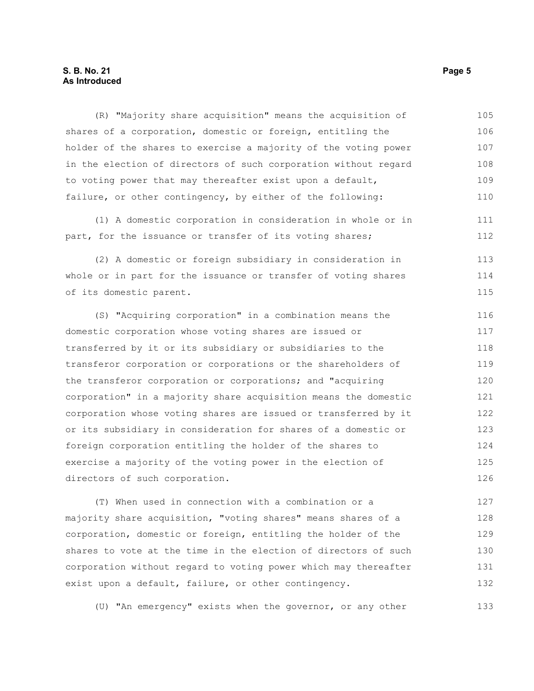### **S. B. No. 21 Page 5 As Introduced**

(R) "Majority share acquisition" means the acquisition of shares of a corporation, domestic or foreign, entitling the holder of the shares to exercise a majority of the voting power in the election of directors of such corporation without regard to voting power that may thereafter exist upon a default, failure, or other contingency, by either of the following: 105 106 107 108 109 110

(1) A domestic corporation in consideration in whole or in part, for the issuance or transfer of its voting shares;

(2) A domestic or foreign subsidiary in consideration in whole or in part for the issuance or transfer of voting shares of its domestic parent. 113 114 115

(S) "Acquiring corporation" in a combination means the domestic corporation whose voting shares are issued or transferred by it or its subsidiary or subsidiaries to the transferor corporation or corporations or the shareholders of the transferor corporation or corporations; and "acquiring corporation" in a majority share acquisition means the domestic corporation whose voting shares are issued or transferred by it or its subsidiary in consideration for shares of a domestic or foreign corporation entitling the holder of the shares to exercise a majority of the voting power in the election of directors of such corporation. 116 117 118 119 120 121 122 123 124 125 126

(T) When used in connection with a combination or a majority share acquisition, "voting shares" means shares of a corporation, domestic or foreign, entitling the holder of the shares to vote at the time in the election of directors of such corporation without regard to voting power which may thereafter exist upon a default, failure, or other contingency. 127 128 129 130 131 132

(U) "An emergency" exists when the governor, or any other

111 112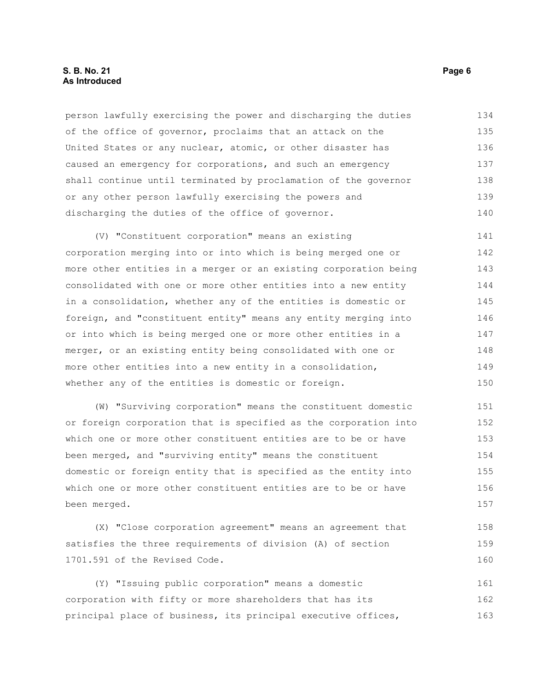### **S. B. No. 21 Page 6 As Introduced**

person lawfully exercising the power and discharging the duties of the office of governor, proclaims that an attack on the United States or any nuclear, atomic, or other disaster has caused an emergency for corporations, and such an emergency shall continue until terminated by proclamation of the governor or any other person lawfully exercising the powers and discharging the duties of the office of governor. 134 135 136 137 138 139 140

(V) "Constituent corporation" means an existing corporation merging into or into which is being merged one or more other entities in a merger or an existing corporation being consolidated with one or more other entities into a new entity in a consolidation, whether any of the entities is domestic or foreign, and "constituent entity" means any entity merging into or into which is being merged one or more other entities in a merger, or an existing entity being consolidated with one or more other entities into a new entity in a consolidation, whether any of the entities is domestic or foreign. 141 142 143 144 145 146 147 148 149 150

(W) "Surviving corporation" means the constituent domestic or foreign corporation that is specified as the corporation into which one or more other constituent entities are to be or have been merged, and "surviving entity" means the constituent domestic or foreign entity that is specified as the entity into which one or more other constituent entities are to be or have been merged. 151 152 153 154 155 156 157

(X) "Close corporation agreement" means an agreement that satisfies the three requirements of division (A) of section 1701.591 of the Revised Code. 158 159 160

(Y) "Issuing public corporation" means a domestic corporation with fifty or more shareholders that has its principal place of business, its principal executive offices, 161 162 163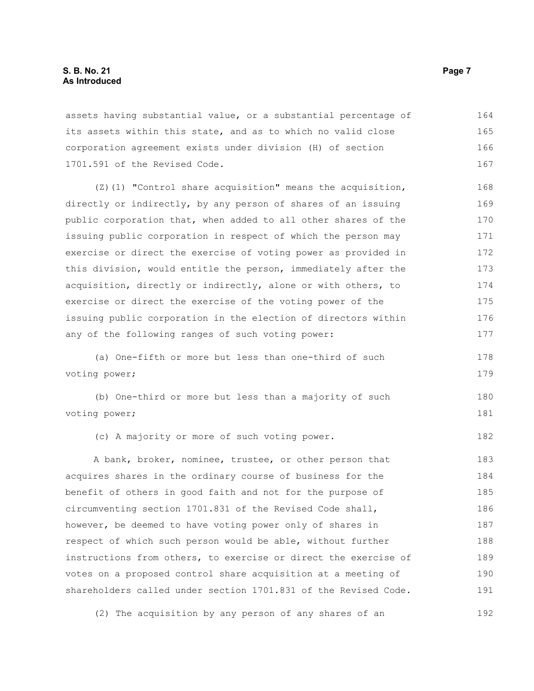assets having substantial value, or a substantial percentage of its assets within this state, and as to which no valid close corporation agreement exists under division (H) of section 1701.591 of the Revised Code. 164 165 166 167

(Z)(1) "Control share acquisition" means the acquisition, directly or indirectly, by any person of shares of an issuing public corporation that, when added to all other shares of the issuing public corporation in respect of which the person may exercise or direct the exercise of voting power as provided in this division, would entitle the person, immediately after the acquisition, directly or indirectly, alone or with others, to exercise or direct the exercise of the voting power of the issuing public corporation in the election of directors within any of the following ranges of such voting power: 168 169 170 171 172 173 174 175 176 177

(a) One-fifth or more but less than one-third of such voting power;

(b) One-third or more but less than a majority of such voting power; 180 181

(c) A majority or more of such voting power.

A bank, broker, nominee, trustee, or other person that acquires shares in the ordinary course of business for the benefit of others in good faith and not for the purpose of circumventing section 1701.831 of the Revised Code shall, however, be deemed to have voting power only of shares in respect of which such person would be able, without further instructions from others, to exercise or direct the exercise of votes on a proposed control share acquisition at a meeting of shareholders called under section 1701.831 of the Revised Code. 183 184 185 186 187 188 189 190 191

(2) The acquisition by any person of any shares of an 192

178 179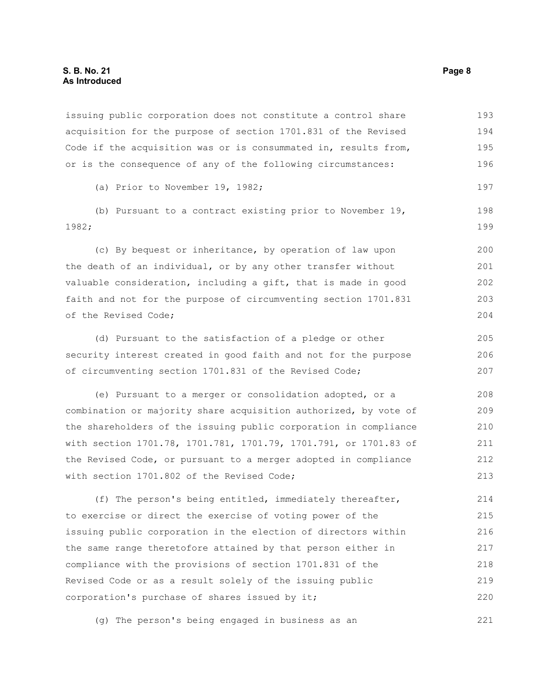### **S. B. No. 21 Page 8 As Introduced**

issuing public corporation does not constitute a control share acquisition for the purpose of section 1701.831 of the Revised Code if the acquisition was or is consummated in, results from, or is the consequence of any of the following circumstances: 193 194 195 196

(a) Prior to November 19, 1982;

(b) Pursuant to a contract existing prior to November 19, 1982;

(c) By bequest or inheritance, by operation of law upon the death of an individual, or by any other transfer without valuable consideration, including a gift, that is made in good faith and not for the purpose of circumventing section 1701.831 of the Revised Code;

(d) Pursuant to the satisfaction of a pledge or other security interest created in good faith and not for the purpose of circumventing section 1701.831 of the Revised Code; 205 206 207

(e) Pursuant to a merger or consolidation adopted, or a combination or majority share acquisition authorized, by vote of the shareholders of the issuing public corporation in compliance with section 1701.78, 1701.781, 1701.79, 1701.791, or 1701.83 of the Revised Code, or pursuant to a merger adopted in compliance with section 1701.802 of the Revised Code; 208 209 210 211 212 213

(f) The person's being entitled, immediately thereafter, to exercise or direct the exercise of voting power of the issuing public corporation in the election of directors within the same range theretofore attained by that person either in compliance with the provisions of section 1701.831 of the Revised Code or as a result solely of the issuing public corporation's purchase of shares issued by it; 214 215 216 217 218 219 220

(g) The person's being engaged in business as an

197

198 199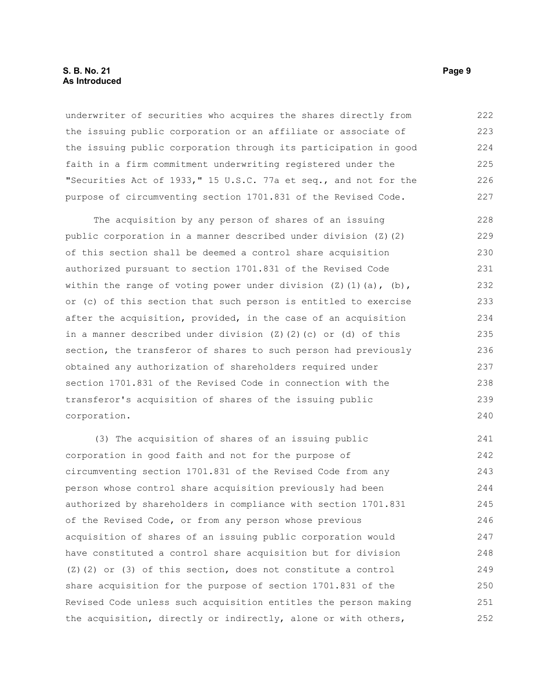### **S. B. No. 21 Page 9 As Introduced**

underwriter of securities who acquires the shares directly from the issuing public corporation or an affiliate or associate of the issuing public corporation through its participation in good faith in a firm commitment underwriting registered under the "Securities Act of 1933," 15 U.S.C. 77a et seq., and not for the purpose of circumventing section 1701.831 of the Revised Code. 222 223 224 225 226 227

The acquisition by any person of shares of an issuing public corporation in a manner described under division (Z)(2) of this section shall be deemed a control share acquisition authorized pursuant to section 1701.831 of the Revised Code within the range of voting power under division  $(2)(1)(a)$ ,  $(b)$ , or (c) of this section that such person is entitled to exercise after the acquisition, provided, in the case of an acquisition in a manner described under division  $(Z)$   $(Z)$   $(c)$  or  $(d)$  of this section, the transferor of shares to such person had previously obtained any authorization of shareholders required under section 1701.831 of the Revised Code in connection with the transferor's acquisition of shares of the issuing public corporation. 228 229 230 231 232 233 234 235 236 237 238 239 240

(3) The acquisition of shares of an issuing public corporation in good faith and not for the purpose of circumventing section 1701.831 of the Revised Code from any person whose control share acquisition previously had been authorized by shareholders in compliance with section 1701.831 of the Revised Code, or from any person whose previous acquisition of shares of an issuing public corporation would have constituted a control share acquisition but for division  $(2)$  (2) or (3) of this section, does not constitute a control share acquisition for the purpose of section 1701.831 of the Revised Code unless such acquisition entitles the person making the acquisition, directly or indirectly, alone or with others, 241 242 243 244 245 246 247 248 249 250 251 252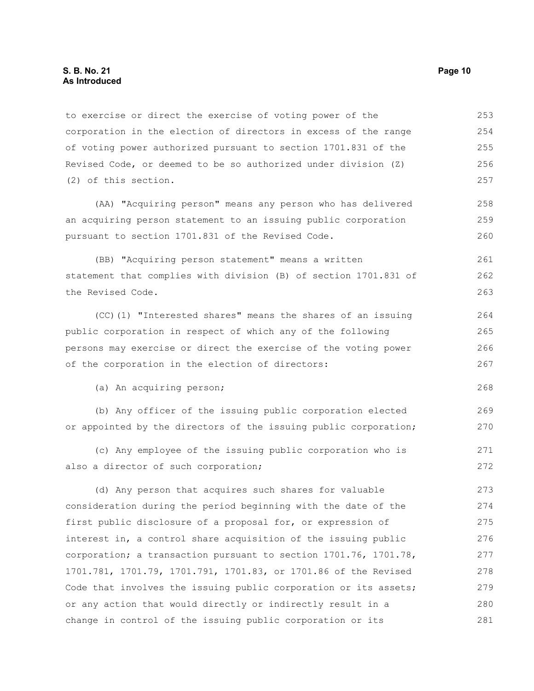to exercise or direct the exercise of voting power of the corporation in the election of directors in excess of the range of voting power authorized pursuant to section 1701.831 of the Revised Code, or deemed to be so authorized under division (Z) (2) of this section. 253 254 255 256 257

(AA) "Acquiring person" means any person who has delivered an acquiring person statement to an issuing public corporation pursuant to section 1701.831 of the Revised Code.

(BB) "Acquiring person statement" means a written statement that complies with division (B) of section 1701.831 of the Revised Code.

(CC)(1) "Interested shares" means the shares of an issuing public corporation in respect of which any of the following persons may exercise or direct the exercise of the voting power of the corporation in the election of directors:

(a) An acquiring person;

(b) Any officer of the issuing public corporation elected or appointed by the directors of the issuing public corporation; 269 270

(c) Any employee of the issuing public corporation who is also a director of such corporation;

(d) Any person that acquires such shares for valuable consideration during the period beginning with the date of the first public disclosure of a proposal for, or expression of interest in, a control share acquisition of the issuing public corporation; a transaction pursuant to section 1701.76, 1701.78, 1701.781, 1701.79, 1701.791, 1701.83, or 1701.86 of the Revised Code that involves the issuing public corporation or its assets; or any action that would directly or indirectly result in a change in control of the issuing public corporation or its 273 274 275 276 277 278 279 280 281

258 259 260

261 262 263

268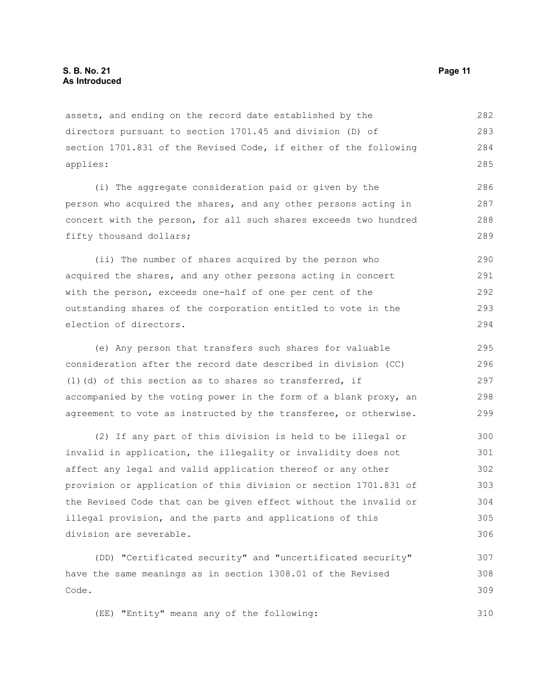assets, and ending on the record date established by the directors pursuant to section 1701.45 and division (D) of section 1701.831 of the Revised Code, if either of the following applies: 282 283 284 285

(i) The aggregate consideration paid or given by the person who acquired the shares, and any other persons acting in concert with the person, for all such shares exceeds two hundred fifty thousand dollars;

(ii) The number of shares acquired by the person who acquired the shares, and any other persons acting in concert with the person, exceeds one-half of one per cent of the outstanding shares of the corporation entitled to vote in the election of directors. 290 291 292 293 294

(e) Any person that transfers such shares for valuable consideration after the record date described in division (CC) (1)(d) of this section as to shares so transferred, if accompanied by the voting power in the form of a blank proxy, an agreement to vote as instructed by the transferee, or otherwise. 295 296 297 298 299

(2) If any part of this division is held to be illegal or invalid in application, the illegality or invalidity does not affect any legal and valid application thereof or any other provision or application of this division or section 1701.831 of the Revised Code that can be given effect without the invalid or illegal provision, and the parts and applications of this division are severable. 300 301 302 303 304 305 306

(DD) "Certificated security" and "uncertificated security" have the same meanings as in section 1308.01 of the Revised Code. 307 308 309

(EE) "Entity" means any of the following: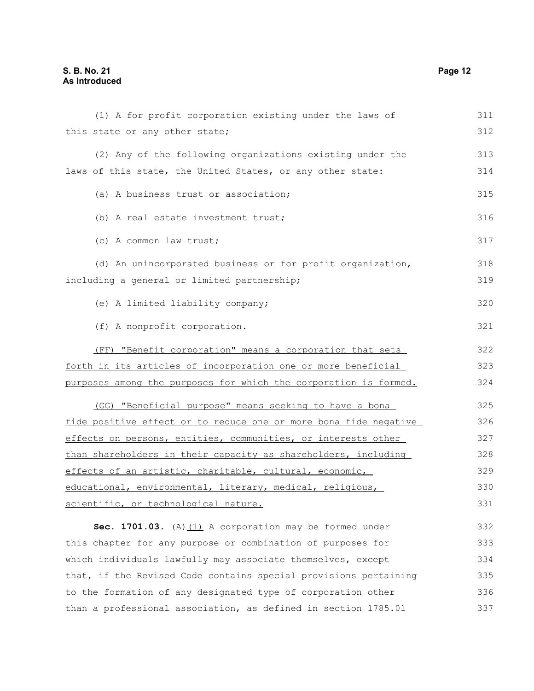| (1) A for profit corporation existing under the laws of          | 311 |
|------------------------------------------------------------------|-----|
| this state or any other state;                                   | 312 |
| (2) Any of the following organizations existing under the        | 313 |
| laws of this state, the United States, or any other state:       | 314 |
| (a) A business trust or association;                             | 315 |
| (b) A real estate investment trust;                              | 316 |
| (c) A common law trust;                                          | 317 |
| (d) An unincorporated business or for profit organization,       | 318 |
| including a general or limited partnership;                      | 319 |
| (e) A limited liability company;                                 | 320 |
| (f) A nonprofit corporation.                                     | 321 |
| (FF) "Benefit corporation" means a corporation that sets         | 322 |
| forth in its articles of incorporation one or more beneficial    | 323 |
| purposes among the purposes for which the corporation is formed. | 324 |
| (GG) "Beneficial purpose" means seeking to have a bona           | 325 |
| fide positive effect or to reduce one or more bona fide negative | 326 |
| effects on persons, entities, communities, or interests other    | 327 |
| than shareholders in their capacity as shareholders, including   | 328 |
| effects of an artistic, charitable, cultural, economic,          | 329 |
| educational, environmental, literary, medical, religious,        | 330 |
| scientific, or technological nature.                             | 331 |
| Sec. 1701.03. (A) $(1)$ A corporation may be formed under        | 332 |
| this chapter for any purpose or combination of purposes for      | 333 |
| which individuals lawfully may associate themselves, except      | 334 |
| that, if the Revised Code contains special provisions pertaining | 335 |
| to the formation of any designated type of corporation other     | 336 |

than a professional association, as defined in section 1785.01 337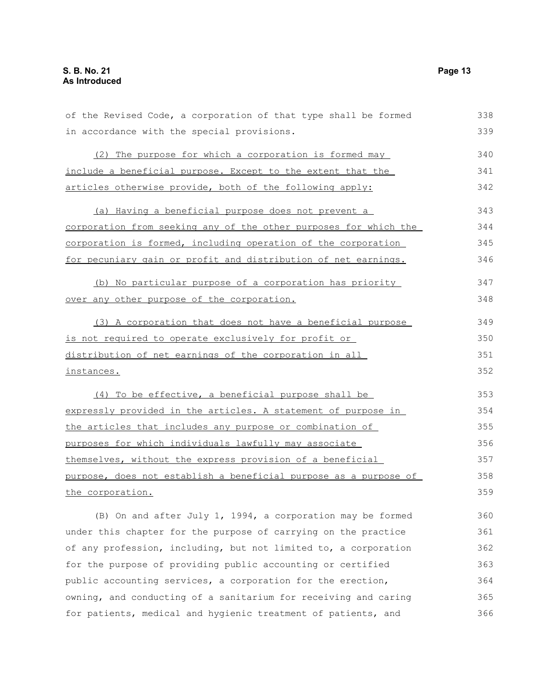| of the Revised Code, a corporation of that type shall be formed  | 338 |
|------------------------------------------------------------------|-----|
| in accordance with the special provisions.                       | 339 |
| (2) The purpose for which a corporation is formed may            | 340 |
| include a beneficial purpose. Except to the extent that the      | 341 |
| articles otherwise provide, both of the following apply:         | 342 |
| (a) Having a beneficial purpose does not prevent a               | 343 |
| corporation from seeking any of the other purposes for which the | 344 |
| corporation is formed, including operation of the corporation    | 345 |
| for pecuniary gain or profit and distribution of net earnings.   | 346 |
| (b) No particular purpose of a corporation has priority          | 347 |
| over any other purpose of the corporation.                       | 348 |
| (3) A corporation that does not have a beneficial purpose        | 349 |
| is not required to operate exclusively for profit or             | 350 |
| distribution of net earnings of the corporation in all           | 351 |
| instances.                                                       | 352 |
| (4) To be effective, a beneficial purpose shall be               | 353 |
| expressly provided in the articles. A statement of purpose in    | 354 |
| the articles that includes any purpose or combination of         | 355 |
| purposes for which individuals lawfully may associate            | 356 |
| themselves, without the express provision of a beneficial        | 357 |
| purpose, does not establish a beneficial purpose as a purpose of | 358 |
| the corporation.                                                 | 359 |
| (B) On and after July 1, 1994, a corporation may be formed       | 360 |
| under this chapter for the purpose of carrying on the practice   | 361 |
| of any profession, including, but not limited to, a corporation  | 362 |
| for the purpose of providing public accounting or certified      | 363 |
| public accounting services, a corporation for the erection,      | 364 |

owning, and conducting of a sanitarium for receiving and caring

for patients, medical and hygienic treatment of patients, and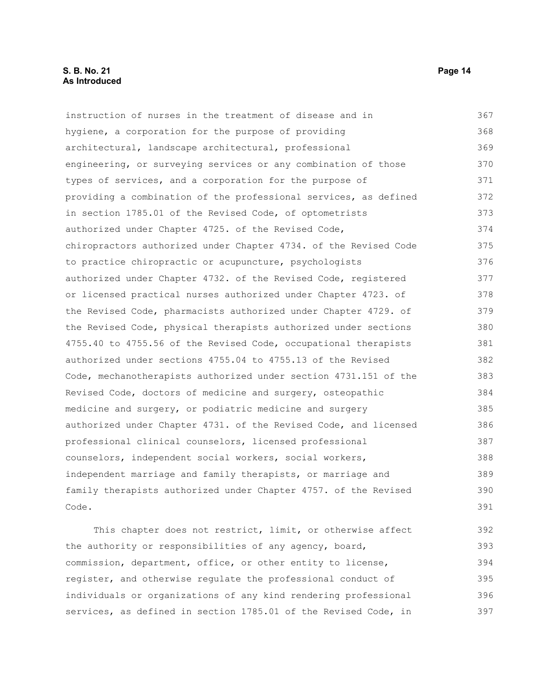### **S. B. No. 21 Page 14 As Introduced**

instruction of nurses in the treatment of disease and in hygiene, a corporation for the purpose of providing architectural, landscape architectural, professional engineering, or surveying services or any combination of those types of services, and a corporation for the purpose of providing a combination of the professional services, as defined in section 1785.01 of the Revised Code, of optometrists authorized under Chapter 4725. of the Revised Code, chiropractors authorized under Chapter 4734. of the Revised Code to practice chiropractic or acupuncture, psychologists authorized under Chapter 4732. of the Revised Code, registered or licensed practical nurses authorized under Chapter 4723. of the Revised Code, pharmacists authorized under Chapter 4729. of the Revised Code, physical therapists authorized under sections 4755.40 to 4755.56 of the Revised Code, occupational therapists authorized under sections 4755.04 to 4755.13 of the Revised Code, mechanotherapists authorized under section 4731.151 of the Revised Code, doctors of medicine and surgery, osteopathic medicine and surgery, or podiatric medicine and surgery authorized under Chapter 4731. of the Revised Code, and licensed professional clinical counselors, licensed professional counselors, independent social workers, social workers, independent marriage and family therapists, or marriage and family therapists authorized under Chapter 4757. of the Revised Code. This chapter does not restrict, limit, or otherwise affect 367 368 369 370 371 372 373 374 375 376 377 378 379 380 381 382 383 384 385 386 387 388 389 390 391 392

the authority or responsibilities of any agency, board, commission, department, office, or other entity to license, register, and otherwise regulate the professional conduct of individuals or organizations of any kind rendering professional services, as defined in section 1785.01 of the Revised Code, in 393 394 395 396 397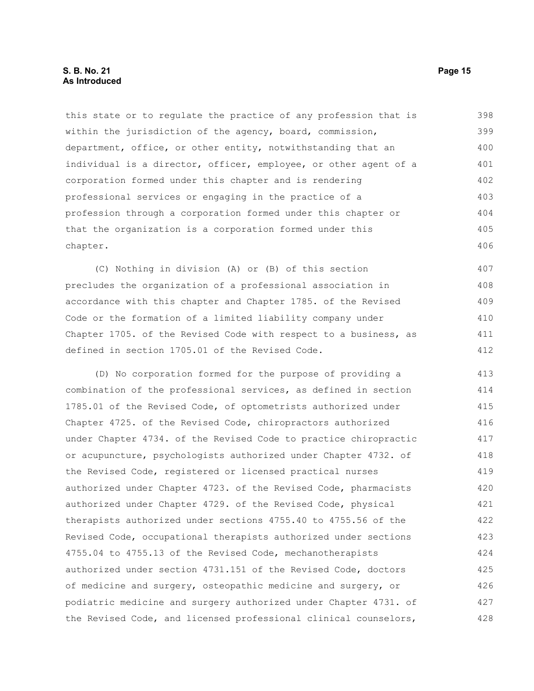### **S. B. No. 21 Page 15 As Introduced**

this state or to regulate the practice of any profession that is within the jurisdiction of the agency, board, commission, department, office, or other entity, notwithstanding that an individual is a director, officer, employee, or other agent of a corporation formed under this chapter and is rendering professional services or engaging in the practice of a profession through a corporation formed under this chapter or that the organization is a corporation formed under this chapter. 398 399 400 401 402 403 404 405 406

(C) Nothing in division (A) or (B) of this section precludes the organization of a professional association in accordance with this chapter and Chapter 1785. of the Revised Code or the formation of a limited liability company under Chapter 1705. of the Revised Code with respect to a business, as defined in section 1705.01 of the Revised Code. 407 408 409 410 411 412

(D) No corporation formed for the purpose of providing a combination of the professional services, as defined in section 1785.01 of the Revised Code, of optometrists authorized under Chapter 4725. of the Revised Code, chiropractors authorized under Chapter 4734. of the Revised Code to practice chiropractic or acupuncture, psychologists authorized under Chapter 4732. of the Revised Code, registered or licensed practical nurses authorized under Chapter 4723. of the Revised Code, pharmacists authorized under Chapter 4729. of the Revised Code, physical therapists authorized under sections 4755.40 to 4755.56 of the Revised Code, occupational therapists authorized under sections 4755.04 to 4755.13 of the Revised Code, mechanotherapists authorized under section 4731.151 of the Revised Code, doctors of medicine and surgery, osteopathic medicine and surgery, or podiatric medicine and surgery authorized under Chapter 4731. of the Revised Code, and licensed professional clinical counselors, 413 414 415 416 417 418 419 420 421 422 423 424 425 426 427 428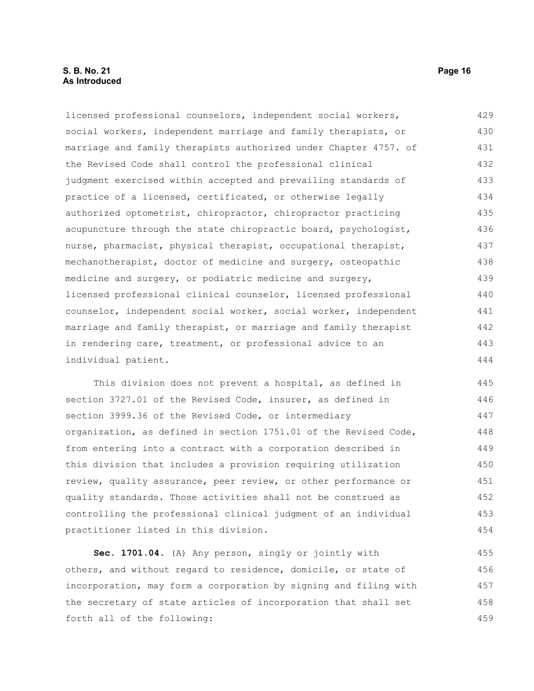### **S. B. No. 21 Page 16 As Introduced**

licensed professional counselors, independent social workers, social workers, independent marriage and family therapists, or marriage and family therapists authorized under Chapter 4757. of the Revised Code shall control the professional clinical judgment exercised within accepted and prevailing standards of practice of a licensed, certificated, or otherwise legally authorized optometrist, chiropractor, chiropractor practicing acupuncture through the state chiropractic board, psychologist, nurse, pharmacist, physical therapist, occupational therapist, mechanotherapist, doctor of medicine and surgery, osteopathic medicine and surgery, or podiatric medicine and surgery, licensed professional clinical counselor, licensed professional counselor, independent social worker, social worker, independent marriage and family therapist, or marriage and family therapist in rendering care, treatment, or professional advice to an individual patient. 429 430 431 432 433 434 435 436 437 438 439 440 441 442 443 444

This division does not prevent a hospital, as defined in section 3727.01 of the Revised Code, insurer, as defined in section 3999.36 of the Revised Code, or intermediary organization, as defined in section 1751.01 of the Revised Code, from entering into a contract with a corporation described in this division that includes a provision requiring utilization review, quality assurance, peer review, or other performance or quality standards. Those activities shall not be construed as controlling the professional clinical judgment of an individual practitioner listed in this division. 445 446 447 448 449 450 451 452 453 454

**Sec. 1701.04.** (A) Any person, singly or jointly with others, and without regard to residence, domicile, or state of incorporation, may form a corporation by signing and filing with the secretary of state articles of incorporation that shall set forth all of the following: 455 456 457 458 459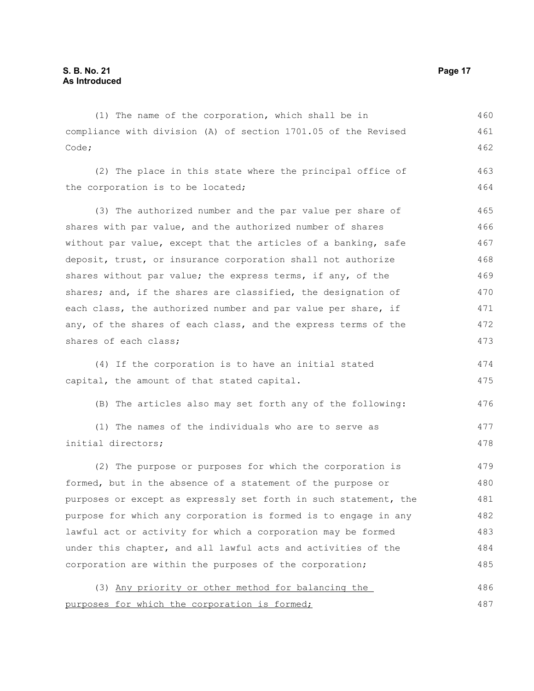(1) The name of the corporation, which shall be in compliance with division (A) of section 1701.05 of the Revised Code; (2) The place in this state where the principal office of the corporation is to be located; (3) The authorized number and the par value per share of shares with par value, and the authorized number of shares without par value, except that the articles of a banking, safe deposit, trust, or insurance corporation shall not authorize shares without par value; the express terms, if any, of the shares; and, if the shares are classified, the designation of each class, the authorized number and par value per share, if any, of the shares of each class, and the express terms of the shares of each class; (4) If the corporation is to have an initial stated capital, the amount of that stated capital. (B) The articles also may set forth any of the following: (1) The names of the individuals who are to serve as initial directors; (2) The purpose or purposes for which the corporation is formed, but in the absence of a statement of the purpose or purposes or except as expressly set forth in such statement, the purpose for which any corporation is formed is to engage in any lawful act or activity for which a corporation may be formed under this chapter, and all lawful acts and activities of the corporation are within the purposes of the corporation; 460 461 462 463 464 465 466 467 468 469 470 471 472 473 474 475 476 477 478 479 480 481 482 483 484 485

(3) Any priority or other method for balancing the purposes for which the corporation is formed; 486 487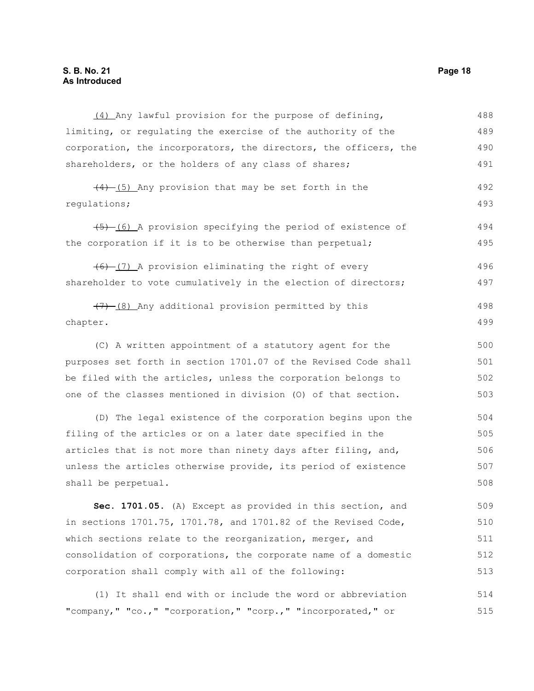### **S. B. No. 21 Page 18 As Introduced**

| (4) Any lawful provision for the purpose of defining,            | 488 |
|------------------------------------------------------------------|-----|
| limiting, or regulating the exercise of the authority of the     | 489 |
| corporation, the incorporators, the directors, the officers, the | 490 |
| shareholders, or the holders of any class of shares;             | 491 |
| $\frac{(4)-(5)}{4}$ Any provision that may be set forth in the   | 492 |
| regulations;                                                     | 493 |
| $(5)$ (6) A provision specifying the period of existence of      | 494 |
| the corporation if it is to be otherwise than perpetual;         | 495 |
| $(6)$ (7) A provision eliminating the right of every             | 496 |
| shareholder to vote cumulatively in the election of directors;   | 497 |
| $(7)$ (8) Any additional provision permitted by this             | 498 |
| chapter.                                                         | 499 |
| (C) A written appointment of a statutory agent for the           | 500 |
| purposes set forth in section 1701.07 of the Revised Code shall  | 501 |
| be filed with the articles, unless the corporation belongs to    | 502 |
| one of the classes mentioned in division (0) of that section.    | 503 |
| (D) The legal existence of the corporation begins upon the       | 504 |
| filing of the articles or on a later date specified in the       | 505 |
| articles that is not more than ninety days after filing, and,    | 506 |
| unless the articles otherwise provide, its period of existence   | 507 |
| shall be perpetual.                                              | 508 |
| Sec. 1701.05. (A) Except as provided in this section, and        | 509 |
| in sections 1701.75, 1701.78, and 1701.82 of the Revised Code,   | 510 |
| which sections relate to the reorganization, merger, and         | 511 |
| consolidation of corporations, the corporate name of a domestic  | 512 |
| corporation shall comply with all of the following:              | 513 |
| (1) It shall end with or include the word or abbreviation        | 514 |

"company," "co.," "corporation," "corp.," "incorporated," or 515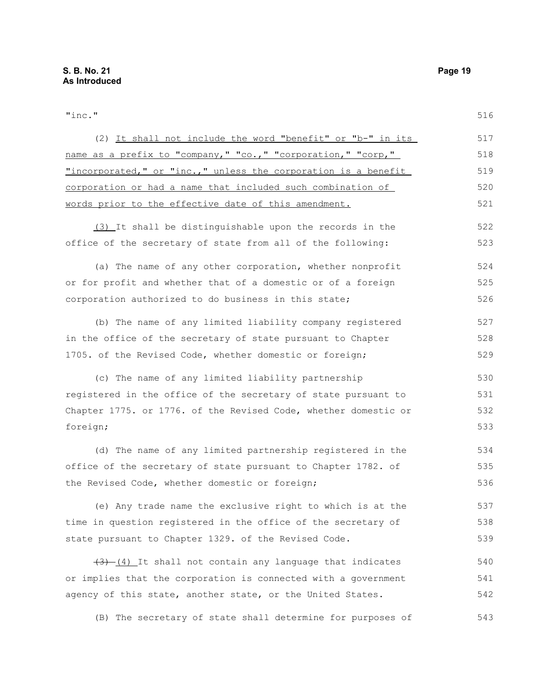"inc." (2) It shall not include the word "benefit" or "b-" in its name as a prefix to "company," "co.," "corporation," "corp," "incorporated," or "inc.," unless the corporation is a benefit corporation or had a name that included such combination of words prior to the effective date of this amendment. (3) It shall be distinguishable upon the records in the office of the secretary of state from all of the following: (a) The name of any other corporation, whether nonprofit or for profit and whether that of a domestic or of a foreign corporation authorized to do business in this state; (b) The name of any limited liability company registered in the office of the secretary of state pursuant to Chapter 1705. of the Revised Code, whether domestic or foreign; (c) The name of any limited liability partnership registered in the office of the secretary of state pursuant to Chapter 1775. or 1776. of the Revised Code, whether domestic or foreign; (d) The name of any limited partnership registered in the office of the secretary of state pursuant to Chapter 1782. of the Revised Code, whether domestic or foreign; (e) Any trade name the exclusive right to which is at the 516 517 518 519 520 521 522 523 524 525 526 527 528 529 530 531 532 533 534 535 536 537

time in question registered in the office of the secretary of state pursuant to Chapter 1329. of the Revised Code. 538 539

 $(3)$   $(4)$  It shall not contain any language that indicates or implies that the corporation is connected with a government agency of this state, another state, or the United States. 540 541 542

(B) The secretary of state shall determine for purposes of 543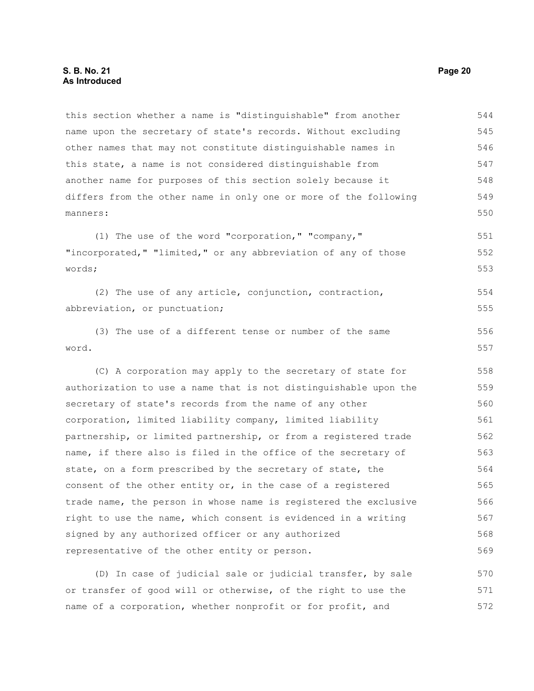this section whether a name is "distinguishable" from another name upon the secretary of state's records. Without excluding other names that may not constitute distinguishable names in this state, a name is not considered distinguishable from another name for purposes of this section solely because it differs from the other name in only one or more of the following manners: 544 545 546 547 548 549 550

(1) The use of the word "corporation," "company," "incorporated," "limited," or any abbreviation of any of those words; 551 552 553

(2) The use of any article, conjunction, contraction, abbreviation, or punctuation; 554 555

(3) The use of a different tense or number of the same word. 556 557

(C) A corporation may apply to the secretary of state for authorization to use a name that is not distinguishable upon the secretary of state's records from the name of any other corporation, limited liability company, limited liability partnership, or limited partnership, or from a registered trade name, if there also is filed in the office of the secretary of state, on a form prescribed by the secretary of state, the consent of the other entity or, in the case of a registered trade name, the person in whose name is registered the exclusive right to use the name, which consent is evidenced in a writing signed by any authorized officer or any authorized representative of the other entity or person. 558 559 560 561 562 563 564 565 566 567 568 569

(D) In case of judicial sale or judicial transfer, by sale or transfer of good will or otherwise, of the right to use the name of a corporation, whether nonprofit or for profit, and 570 571 572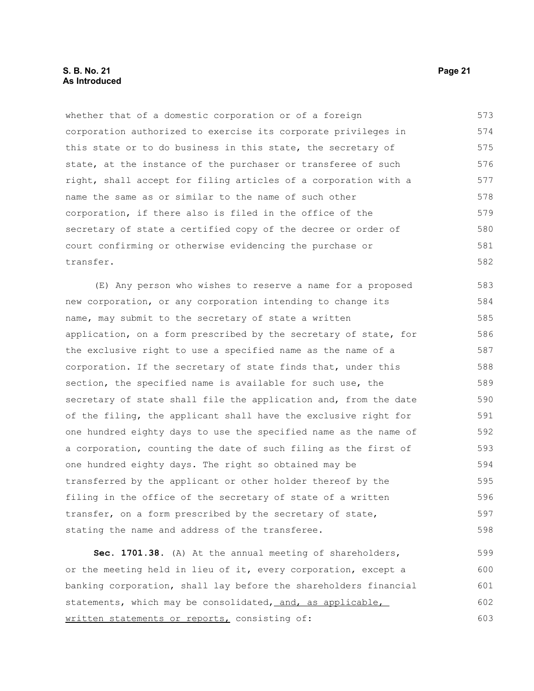### **S. B. No. 21 Page 21 As Introduced**

whether that of a domestic corporation or of a foreign corporation authorized to exercise its corporate privileges in this state or to do business in this state, the secretary of state, at the instance of the purchaser or transferee of such right, shall accept for filing articles of a corporation with a name the same as or similar to the name of such other corporation, if there also is filed in the office of the secretary of state a certified copy of the decree or order of court confirming or otherwise evidencing the purchase or transfer. 573 574 575 576 577 578 579 580 581 582

(E) Any person who wishes to reserve a name for a proposed new corporation, or any corporation intending to change its name, may submit to the secretary of state a written application, on a form prescribed by the secretary of state, for the exclusive right to use a specified name as the name of a corporation. If the secretary of state finds that, under this section, the specified name is available for such use, the secretary of state shall file the application and, from the date of the filing, the applicant shall have the exclusive right for one hundred eighty days to use the specified name as the name of a corporation, counting the date of such filing as the first of one hundred eighty days. The right so obtained may be transferred by the applicant or other holder thereof by the filing in the office of the secretary of state of a written transfer, on a form prescribed by the secretary of state, stating the name and address of the transferee. 583 584 585 586 587 588 589 590 591 592 593 594 595 596 597 598

**Sec. 1701.38.** (A) At the annual meeting of shareholders, or the meeting held in lieu of it, every corporation, except a banking corporation, shall lay before the shareholders financial statements, which may be consolidated, and, as applicable, written statements or reports, consisting of: 599 600 601 602 603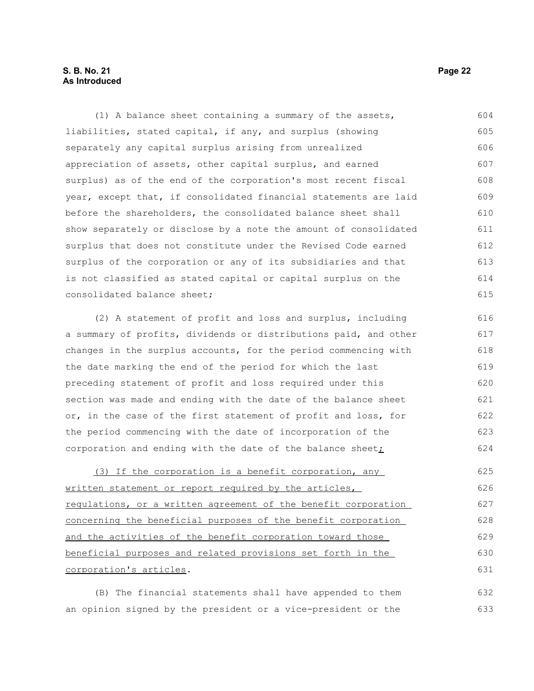### **S. B. No. 21 Page 22 As Introduced**

(1) A balance sheet containing a summary of the assets, liabilities, stated capital, if any, and surplus (showing separately any capital surplus arising from unrealized appreciation of assets, other capital surplus, and earned surplus) as of the end of the corporation's most recent fiscal year, except that, if consolidated financial statements are laid before the shareholders, the consolidated balance sheet shall show separately or disclose by a note the amount of consolidated surplus that does not constitute under the Revised Code earned surplus of the corporation or any of its subsidiaries and that is not classified as stated capital or capital surplus on the consolidated balance sheet; 604 605 606 607 608 609 610 611 612 613 614 615

(2) A statement of profit and loss and surplus, including a summary of profits, dividends or distributions paid, and other changes in the surplus accounts, for the period commencing with the date marking the end of the period for which the last preceding statement of profit and loss required under this section was made and ending with the date of the balance sheet or, in the case of the first statement of profit and loss, for the period commencing with the date of incorporation of the corporation and ending with the date of the balance sheet; 616 617 618 619 620 621 622 623 624

(3) If the corporation is a benefit corporation, any written statement or report required by the articles, regulations, or a written agreement of the benefit corporation concerning the beneficial purposes of the benefit corporation and the activities of the benefit corporation toward those beneficial purposes and related provisions set forth in the corporation's articles. 625 626 627 628 629 630 631

(B) The financial statements shall have appended to them an opinion signed by the president or a vice-president or the 632 633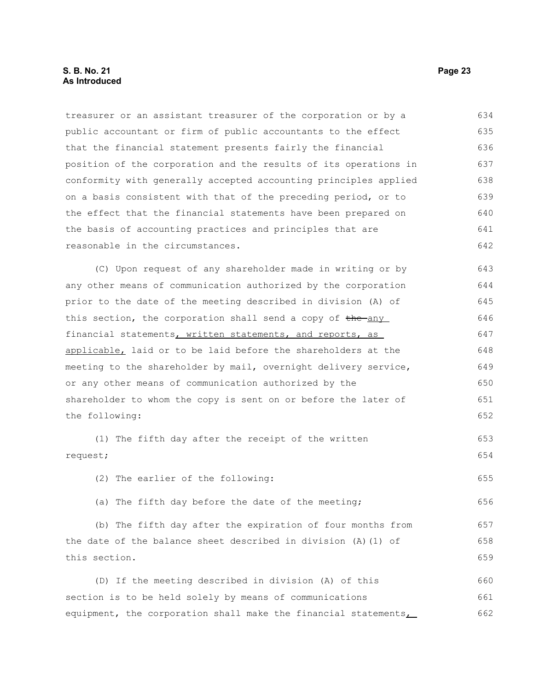treasurer or an assistant treasurer of the corporation or by a public accountant or firm of public accountants to the effect that the financial statement presents fairly the financial position of the corporation and the results of its operations in conformity with generally accepted accounting principles applied on a basis consistent with that of the preceding period, or to the effect that the financial statements have been prepared on the basis of accounting practices and principles that are reasonable in the circumstances. (C) Upon request of any shareholder made in writing or by any other means of communication authorized by the corporation prior to the date of the meeting described in division (A) of this section, the corporation shall send a copy of the any financial statements, written statements, and reports, as applicable, laid or to be laid before the shareholders at the meeting to the shareholder by mail, overnight delivery service, or any other means of communication authorized by the shareholder to whom the copy is sent on or before the later of the following: (1) The fifth day after the receipt of the written request; (2) The earlier of the following: (a) The fifth day before the date of the meeting; (b) The fifth day after the expiration of four months from the date of the balance sheet described in division (A)(1) of this section. (D) If the meeting described in division (A) of this section is to be held solely by means of communications equipment, the corporation shall make the financial statements, 634 635 636 637 638 639 640 641 642 643 644 645 646 647 648 649 650 651 652 653 654 655 656 657 658 659 660 661 662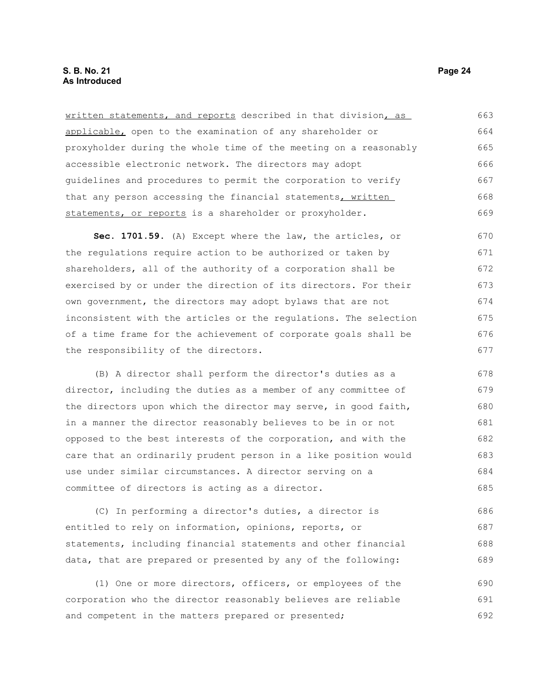written statements, and reports described in that division, as applicable, open to the examination of any shareholder or proxyholder during the whole time of the meeting on a reasonably accessible electronic network. The directors may adopt guidelines and procedures to permit the corporation to verify that any person accessing the financial statements, written statements, or reports is a shareholder or proxyholder. 663 664 665 666 667 668 669

**Sec. 1701.59.** (A) Except where the law, the articles, or the regulations require action to be authorized or taken by shareholders, all of the authority of a corporation shall be exercised by or under the direction of its directors. For their own government, the directors may adopt bylaws that are not inconsistent with the articles or the regulations. The selection of a time frame for the achievement of corporate goals shall be the responsibility of the directors. 670 671 672 673 674 675 676 677

(B) A director shall perform the director's duties as a director, including the duties as a member of any committee of the directors upon which the director may serve, in good faith, in a manner the director reasonably believes to be in or not opposed to the best interests of the corporation, and with the care that an ordinarily prudent person in a like position would use under similar circumstances. A director serving on a committee of directors is acting as a director. 678 679 680 681 682 683 684 685

(C) In performing a director's duties, a director is entitled to rely on information, opinions, reports, or statements, including financial statements and other financial data, that are prepared or presented by any of the following: 686 687 688 689

(1) One or more directors, officers, or employees of the corporation who the director reasonably believes are reliable and competent in the matters prepared or presented; 690 691 692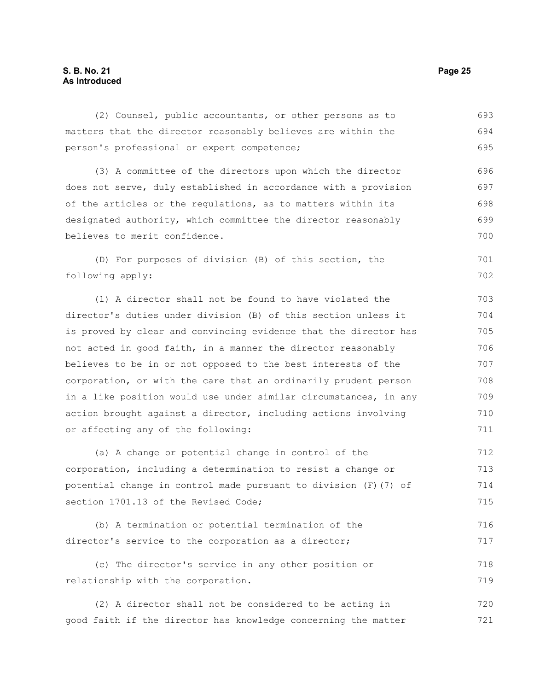### **S. B. No. 21 Page 25 As Introduced**

(2) Counsel, public accountants, or other persons as to matters that the director reasonably believes are within the person's professional or expert competence; 693 694 695

(3) A committee of the directors upon which the director does not serve, duly established in accordance with a provision of the articles or the regulations, as to matters within its designated authority, which committee the director reasonably believes to merit confidence. 696 697 698 699 700

(D) For purposes of division (B) of this section, the following apply:

(1) A director shall not be found to have violated the director's duties under division (B) of this section unless it is proved by clear and convincing evidence that the director has not acted in good faith, in a manner the director reasonably believes to be in or not opposed to the best interests of the corporation, or with the care that an ordinarily prudent person in a like position would use under similar circumstances, in any action brought against a director, including actions involving or affecting any of the following:

(a) A change or potential change in control of the corporation, including a determination to resist a change or potential change in control made pursuant to division (F)(7) of section 1701.13 of the Revised Code; 712 713 714 715

(b) A termination or potential termination of the director's service to the corporation as a director; 716 717

(c) The director's service in any other position or relationship with the corporation. 718 719

(2) A director shall not be considered to be acting in good faith if the director has knowledge concerning the matter 720 721

701 702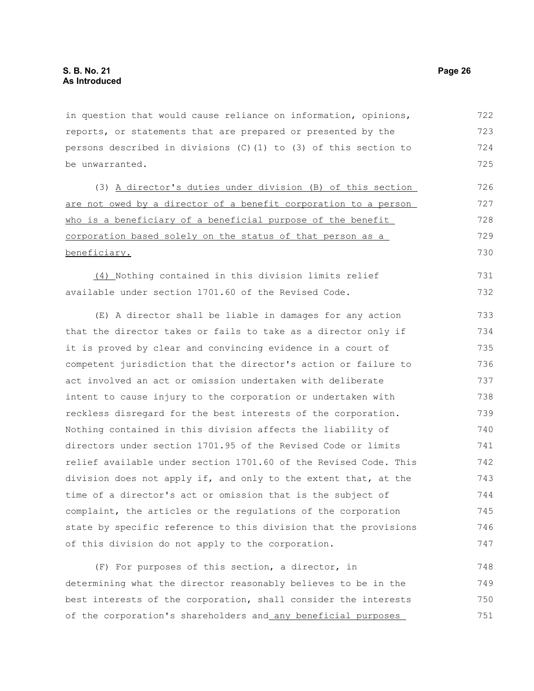in question that would cause reliance on information, opinions, reports, or statements that are prepared or presented by the persons described in divisions  $(C)$  (1) to (3) of this section to be unwarranted. 722 723 724 725

(3) A director's duties under division (B) of this section are not owed by a director of a benefit corporation to a person who is a beneficiary of a beneficial purpose of the benefit corporation based solely on the status of that person as a beneficiary. 726 727 728 729 730

(4) Nothing contained in this division limits relief available under section 1701.60 of the Revised Code. 731 732

(E) A director shall be liable in damages for any action that the director takes or fails to take as a director only if it is proved by clear and convincing evidence in a court of competent jurisdiction that the director's action or failure to act involved an act or omission undertaken with deliberate intent to cause injury to the corporation or undertaken with reckless disregard for the best interests of the corporation. Nothing contained in this division affects the liability of directors under section 1701.95 of the Revised Code or limits relief available under section 1701.60 of the Revised Code. This division does not apply if, and only to the extent that, at the time of a director's act or omission that is the subject of complaint, the articles or the regulations of the corporation state by specific reference to this division that the provisions of this division do not apply to the corporation. 733 734 735 736 737 738 739 740 741 742 743 744 745 746 747

(F) For purposes of this section, a director, in determining what the director reasonably believes to be in the best interests of the corporation, shall consider the interests of the corporation's shareholders and any beneficial purposes 748 749 750 751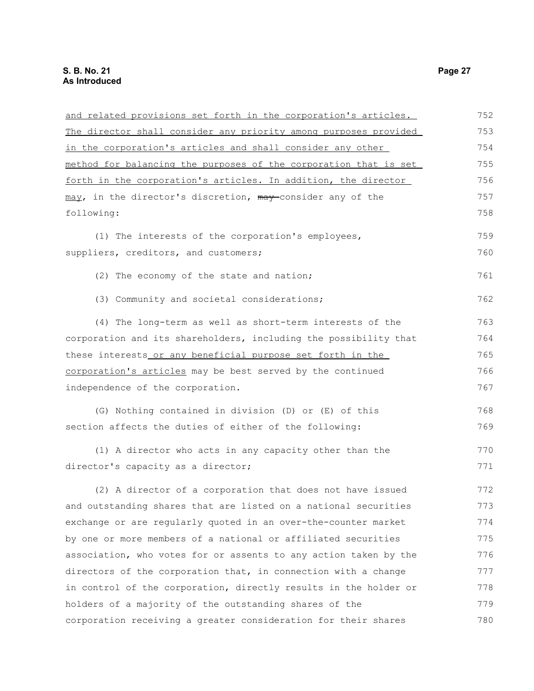| and related provisions set forth in the corporation's articles.  | 752 |
|------------------------------------------------------------------|-----|
| The director shall consider any priority among purposes provided | 753 |
| in the corporation's articles and shall consider any other       | 754 |
| method for balancing the purposes of the corporation that is set | 755 |
| forth in the corporation's articles. In addition, the director   | 756 |
| may, in the director's discretion, may consider any of the       | 757 |
| following:                                                       | 758 |
| (1) The interests of the corporation's employees,                | 759 |
| suppliers, creditors, and customers;                             | 760 |
| (2) The economy of the state and nation;                         | 761 |
| (3) Community and societal considerations;                       | 762 |
| (4) The long-term as well as short-term interests of the         | 763 |
| corporation and its shareholders, including the possibility that | 764 |
| these interests or any beneficial purpose set forth in the       | 765 |
| corporation's articles may be best served by the continued       | 766 |
| independence of the corporation.                                 | 767 |
| (G) Nothing contained in division (D) or (E) of this             | 768 |
| section affects the duties of either of the following:           | 769 |
| (1) A director who acts in any capacity other than the           | 770 |
| director's capacity as a director;                               | 771 |
| (2) A director of a corporation that does not have issued        | 772 |
| and outstanding shares that are listed on a national securities  | 773 |
| exchange or are regularly quoted in an over-the-counter market   | 774 |
| by one or more members of a national or affiliated securities    | 775 |
| association, who votes for or assents to any action taken by the | 776 |
| directors of the corporation that, in connection with a change   | 777 |
| in control of the corporation, directly results in the holder or | 778 |
| holders of a majority of the outstanding shares of the           | 779 |
| corporation receiving a greater consideration for their shares   | 780 |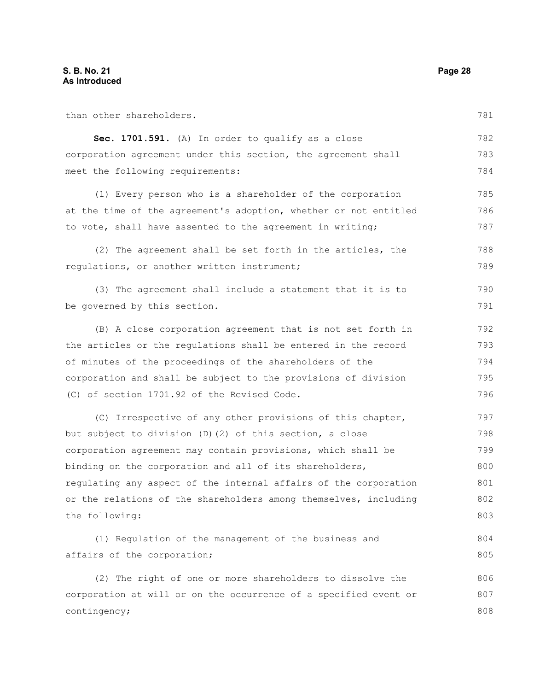| than other shareholders.                                         | 781 |
|------------------------------------------------------------------|-----|
| Sec. 1701.591. (A) In order to qualify as a close                | 782 |
| corporation agreement under this section, the agreement shall    | 783 |
| meet the following requirements:                                 | 784 |
| (1) Every person who is a shareholder of the corporation         | 785 |
| at the time of the agreement's adoption, whether or not entitled | 786 |
| to vote, shall have assented to the agreement in writing;        | 787 |
| (2) The agreement shall be set forth in the articles, the        | 788 |
| regulations, or another written instrument;                      | 789 |
| (3) The agreement shall include a statement that it is to        | 790 |
| be governed by this section.                                     | 791 |
| (B) A close corporation agreement that is not set forth in       | 792 |
| the articles or the regulations shall be entered in the record   | 793 |
| of minutes of the proceedings of the shareholders of the         | 794 |
| corporation and shall be subject to the provisions of division   | 795 |
| (C) of section 1701.92 of the Revised Code.                      | 796 |
| (C) Irrespective of any other provisions of this chapter,        | 797 |
| but subject to division (D) (2) of this section, a close         | 798 |
| corporation agreement may contain provisions, which shall be     | 799 |
| binding on the corporation and all of its shareholders,          | 800 |
| regulating any aspect of the internal affairs of the corporation | 801 |
| or the relations of the shareholders among themselves, including | 802 |
| the following:                                                   | 803 |
| (1) Regulation of the management of the business and             | 804 |
| affairs of the corporation;                                      | 805 |
| (2) The right of one or more shareholders to dissolve the        | 806 |
| corporation at will or on the occurrence of a specified event or | 807 |
| contingency;                                                     | 808 |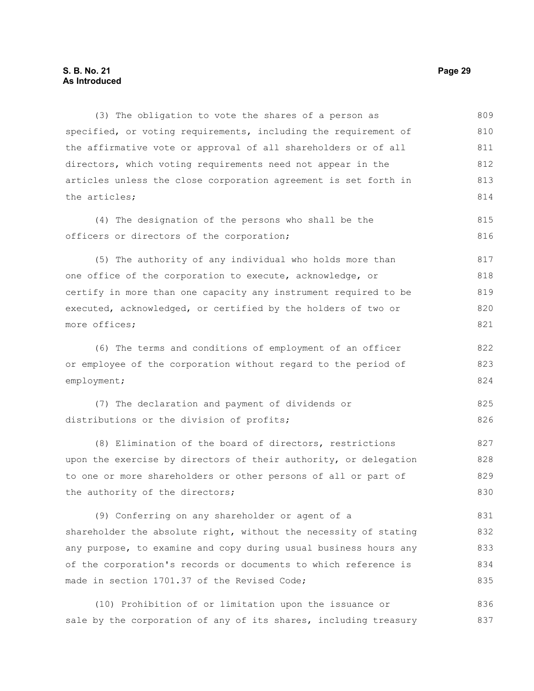### **S. B. No. 21 Page 29 As Introduced**

(3) The obligation to vote the shares of a person as specified, or voting requirements, including the requirement of the affirmative vote or approval of all shareholders or of all directors, which voting requirements need not appear in the articles unless the close corporation agreement is set forth in the articles; (4) The designation of the persons who shall be the officers or directors of the corporation; (5) The authority of any individual who holds more than one office of the corporation to execute, acknowledge, or certify in more than one capacity any instrument required to be executed, acknowledged, or certified by the holders of two or more offices; (6) The terms and conditions of employment of an officer or employee of the corporation without regard to the period of employment; (7) The declaration and payment of dividends or distributions or the division of profits; (8) Elimination of the board of directors, restrictions upon the exercise by directors of their authority, or delegation to one or more shareholders or other persons of all or part of the authority of the directors; 809 810 811 812 813 814 815 816 817 818 819 820 821 822 823 824 825 826 827 828 829 830

(9) Conferring on any shareholder or agent of a shareholder the absolute right, without the necessity of stating any purpose, to examine and copy during usual business hours any of the corporation's records or documents to which reference is made in section 1701.37 of the Revised Code; 831 832 833 834 835

(10) Prohibition of or limitation upon the issuance or sale by the corporation of any of its shares, including treasury 836 837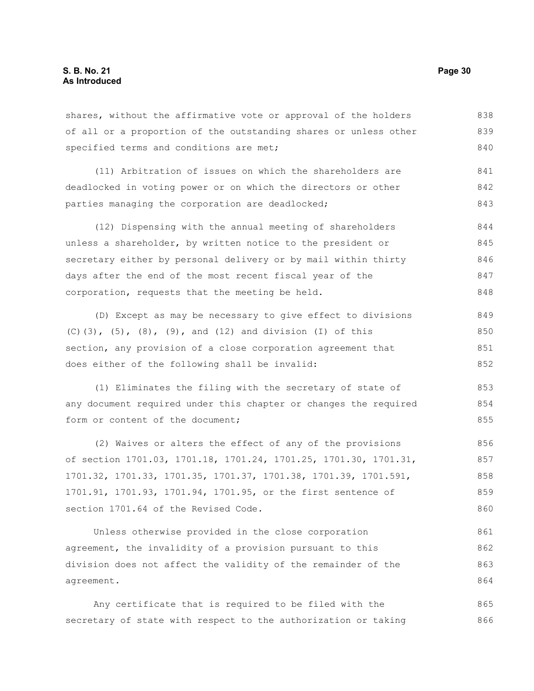agreement.

| specified terms and conditions are met;                          | 840 |
|------------------------------------------------------------------|-----|
| (11) Arbitration of issues on which the shareholders are         | 841 |
| deadlocked in voting power or on which the directors or other    | 842 |
| parties managing the corporation are deadlocked;                 | 843 |
| (12) Dispensing with the annual meeting of shareholders          | 844 |
| unless a shareholder, by written notice to the president or      | 845 |
| secretary either by personal delivery or by mail within thirty   | 846 |
| days after the end of the most recent fiscal year of the         | 847 |
| corporation, requests that the meeting be held.                  | 848 |
| (D) Except as may be necessary to give effect to divisions       | 849 |
| $(C)$ (3), (5), (8), (9), and (12) and division (I) of this      | 850 |
| section, any provision of a close corporation agreement that     | 851 |
| does either of the following shall be invalid:                   | 852 |
| (1) Eliminates the filing with the secretary of state of         | 853 |
| any document required under this chapter or changes the required | 854 |
| form or content of the document;                                 | 855 |
| (2) Waives or alters the effect of any of the provisions         | 856 |
| of section 1701.03, 1701.18, 1701.24, 1701.25, 1701.30, 1701.31, | 857 |
| 1701.32, 1701.33, 1701.35, 1701.37, 1701.38, 1701.39, 1701.591,  | 858 |
| 1701.91, 1701.93, 1701.94, 1701.95, or the first sentence of     | 859 |

shares, without the affirmative vote or approval of the holders of all or a proportion of the outstanding shares or unless other

section 1701.64 of the Revised Code. Unless otherwise provided in the close corporation agreement, the invalidity of a provision pursuant to this division does not affect the validity of the remainder of the 860 861 862 863

Any certificate that is required to be filed with the secretary of state with respect to the authorization or taking 865 866

838 839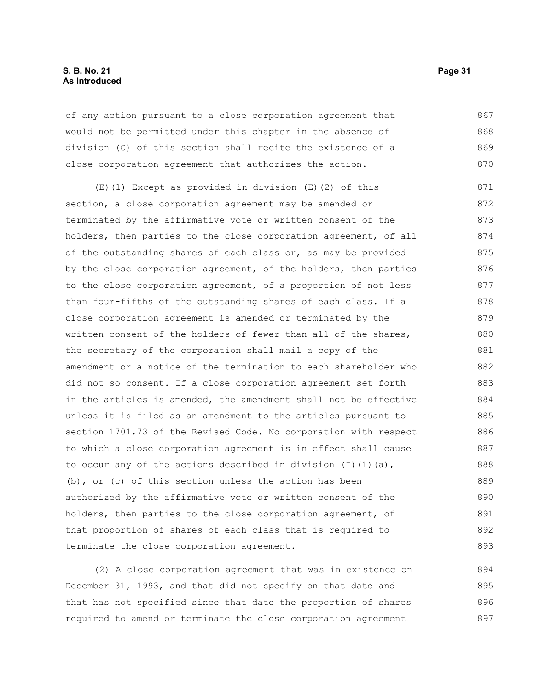### **S. B. No. 21 Page 31 As Introduced**

of any action pursuant to a close corporation agreement that would not be permitted under this chapter in the absence of division (C) of this section shall recite the existence of a close corporation agreement that authorizes the action. 867 868 869 870

(E)(1) Except as provided in division (E)(2) of this section, a close corporation agreement may be amended or terminated by the affirmative vote or written consent of the holders, then parties to the close corporation agreement, of all of the outstanding shares of each class or, as may be provided by the close corporation agreement, of the holders, then parties to the close corporation agreement, of a proportion of not less than four-fifths of the outstanding shares of each class. If a close corporation agreement is amended or terminated by the written consent of the holders of fewer than all of the shares, the secretary of the corporation shall mail a copy of the amendment or a notice of the termination to each shareholder who did not so consent. If a close corporation agreement set forth in the articles is amended, the amendment shall not be effective unless it is filed as an amendment to the articles pursuant to section 1701.73 of the Revised Code. No corporation with respect to which a close corporation agreement is in effect shall cause to occur any of the actions described in division (I)(1)(a), (b), or (c) of this section unless the action has been authorized by the affirmative vote or written consent of the holders, then parties to the close corporation agreement, of that proportion of shares of each class that is required to terminate the close corporation agreement. 871 872 873 874 875 876 877 878 879 880 881 882 883 884 885 886 887 888 889 890 891 892 893

(2) A close corporation agreement that was in existence on December 31, 1993, and that did not specify on that date and that has not specified since that date the proportion of shares required to amend or terminate the close corporation agreement 894 895 896 897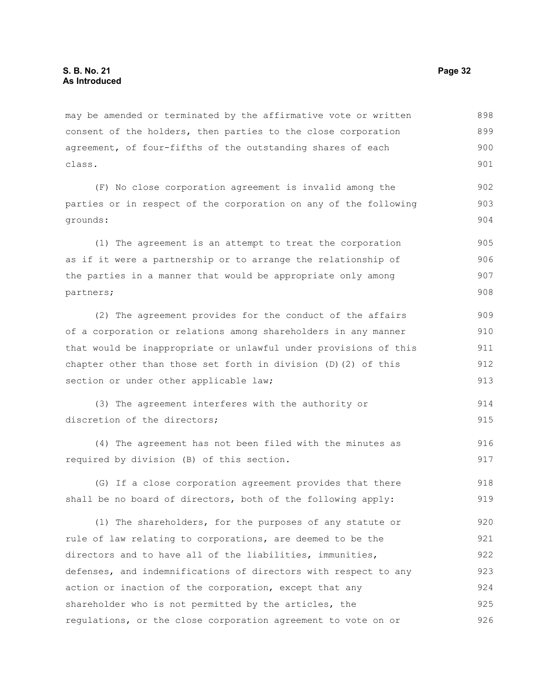may be amended or terminated by the affirmative vote or written consent of the holders, then parties to the close corporation agreement, of four-fifths of the outstanding shares of each class. 898 899 900 901

(F) No close corporation agreement is invalid among the parties or in respect of the corporation on any of the following grounds:

(1) The agreement is an attempt to treat the corporation as if it were a partnership or to arrange the relationship of the parties in a manner that would be appropriate only among partners; 905 906 907 908

(2) The agreement provides for the conduct of the affairs of a corporation or relations among shareholders in any manner that would be inappropriate or unlawful under provisions of this chapter other than those set forth in division (D)(2) of this section or under other applicable law; 909 910 911 912 913

```
(3) The agreement interferes with the authority or
discretion of the directors:
                                                                             914
                                                                             915
```
(4) The agreement has not been filed with the minutes as required by division (B) of this section. 916 917

(G) If a close corporation agreement provides that there shall be no board of directors, both of the following apply: 918 919

(1) The shareholders, for the purposes of any statute or rule of law relating to corporations, are deemed to be the directors and to have all of the liabilities, immunities, defenses, and indemnifications of directors with respect to any action or inaction of the corporation, except that any shareholder who is not permitted by the articles, the regulations, or the close corporation agreement to vote on or 920 921 922 923 924 925 926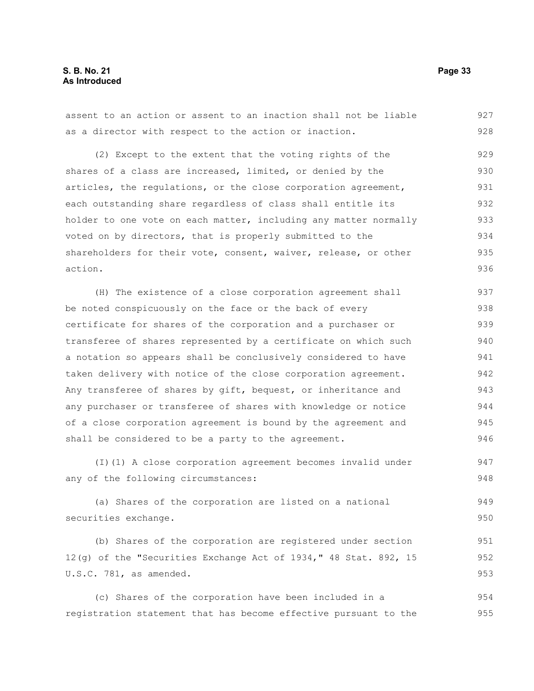### **S. B. No. 21 Page 33 As Introduced**

assent to an action or assent to an inaction shall not be liable as a director with respect to the action or inaction. 927 928

(2) Except to the extent that the voting rights of the shares of a class are increased, limited, or denied by the articles, the regulations, or the close corporation agreement, each outstanding share regardless of class shall entitle its holder to one vote on each matter, including any matter normally voted on by directors, that is properly submitted to the shareholders for their vote, consent, waiver, release, or other action. 929 930 931 932 933 934 935 936

(H) The existence of a close corporation agreement shall be noted conspicuously on the face or the back of every certificate for shares of the corporation and a purchaser or transferee of shares represented by a certificate on which such a notation so appears shall be conclusively considered to have taken delivery with notice of the close corporation agreement. Any transferee of shares by gift, bequest, or inheritance and any purchaser or transferee of shares with knowledge or notice of a close corporation agreement is bound by the agreement and shall be considered to be a party to the agreement. 937 938 939 940 941 942 943 944 945 946

(I)(1) A close corporation agreement becomes invalid under any of the following circumstances: 947 948

(a) Shares of the corporation are listed on a national securities exchange. 949 950

(b) Shares of the corporation are registered under section 12(g) of the "Securities Exchange Act of 1934," 48 Stat. 892, 15 U.S.C. 781, as amended. 951 952 953

(c) Shares of the corporation have been included in a registration statement that has become effective pursuant to the 954 955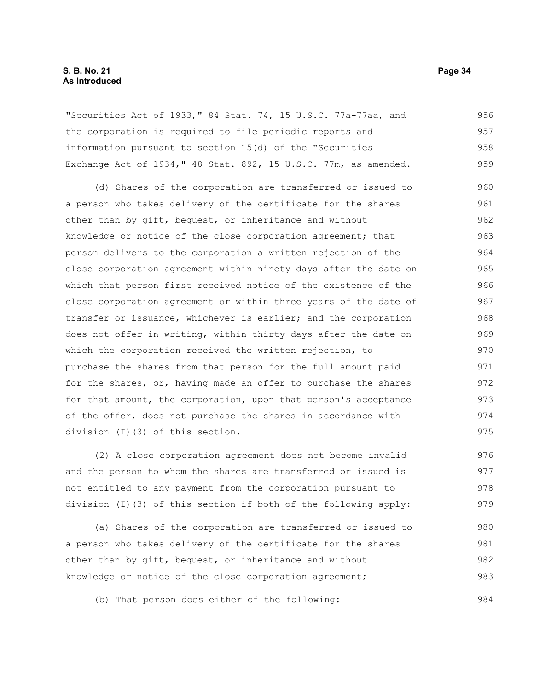### **S. B. No. 21 Page 34 As Introduced**

"Securities Act of 1933," 84 Stat. 74, 15 U.S.C. 77a-77aa, and the corporation is required to file periodic reports and information pursuant to section 15(d) of the "Securities Exchange Act of 1934," 48 Stat. 892, 15 U.S.C. 77m, as amended. 956 957 958 959

(d) Shares of the corporation are transferred or issued to a person who takes delivery of the certificate for the shares other than by gift, bequest, or inheritance and without knowledge or notice of the close corporation agreement; that person delivers to the corporation a written rejection of the close corporation agreement within ninety days after the date on which that person first received notice of the existence of the close corporation agreement or within three years of the date of transfer or issuance, whichever is earlier; and the corporation does not offer in writing, within thirty days after the date on which the corporation received the written rejection, to purchase the shares from that person for the full amount paid for the shares, or, having made an offer to purchase the shares for that amount, the corporation, upon that person's acceptance of the offer, does not purchase the shares in accordance with division (I)(3) of this section. 960 961 962 963 964 965 966 967 968 969 970 971 972 973 974 975

(2) A close corporation agreement does not become invalid and the person to whom the shares are transferred or issued is not entitled to any payment from the corporation pursuant to division (I)(3) of this section if both of the following apply: 976 977 978 979

(a) Shares of the corporation are transferred or issued to a person who takes delivery of the certificate for the shares other than by gift, bequest, or inheritance and without knowledge or notice of the close corporation agreement; 980 981 982 983

(b) That person does either of the following: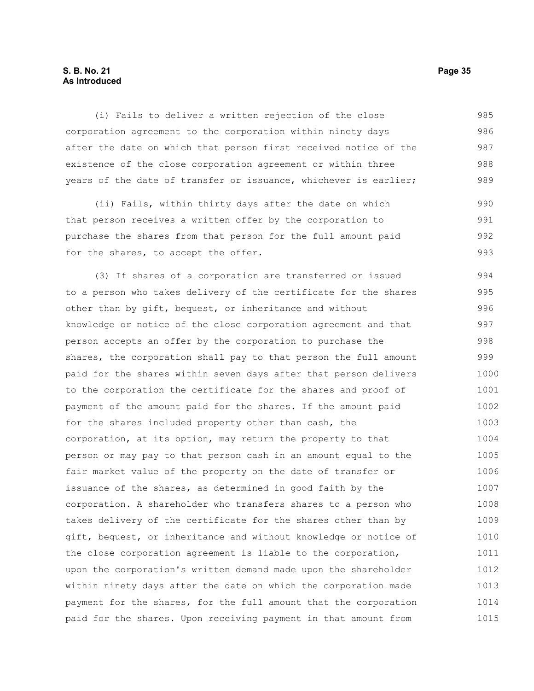### **S. B. No. 21 Page 35 As Introduced**

(i) Fails to deliver a written rejection of the close corporation agreement to the corporation within ninety days after the date on which that person first received notice of the existence of the close corporation agreement or within three years of the date of transfer or issuance, whichever is earlier; 985 986 987 988 989

(ii) Fails, within thirty days after the date on which that person receives a written offer by the corporation to purchase the shares from that person for the full amount paid for the shares, to accept the offer. 990 991 992 993

(3) If shares of a corporation are transferred or issued to a person who takes delivery of the certificate for the shares other than by gift, bequest, or inheritance and without knowledge or notice of the close corporation agreement and that person accepts an offer by the corporation to purchase the shares, the corporation shall pay to that person the full amount paid for the shares within seven days after that person delivers to the corporation the certificate for the shares and proof of payment of the amount paid for the shares. If the amount paid for the shares included property other than cash, the corporation, at its option, may return the property to that person or may pay to that person cash in an amount equal to the fair market value of the property on the date of transfer or issuance of the shares, as determined in good faith by the corporation. A shareholder who transfers shares to a person who takes delivery of the certificate for the shares other than by gift, bequest, or inheritance and without knowledge or notice of the close corporation agreement is liable to the corporation, upon the corporation's written demand made upon the shareholder within ninety days after the date on which the corporation made payment for the shares, for the full amount that the corporation paid for the shares. Upon receiving payment in that amount from 994 995 996 997 998 999 1000 1001 1002 1003 1004 1005 1006 1007 1008 1009 1010 1011 1012 1013 1014 1015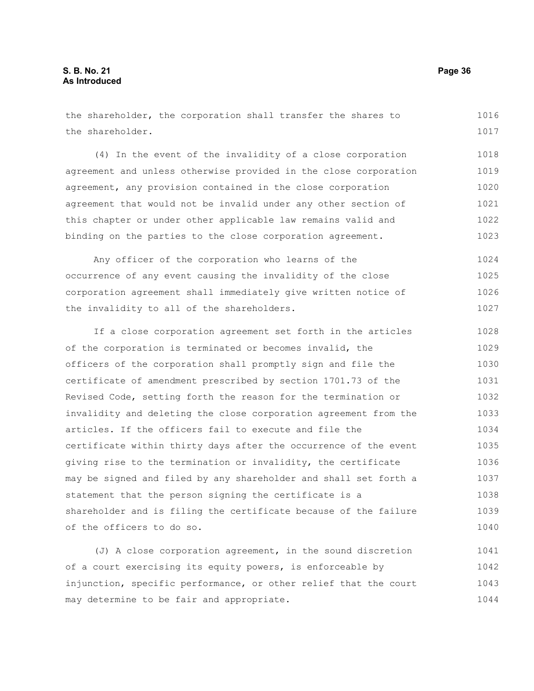the shareholder, the corporation shall transfer the shares to the shareholder. 1016 1017

(4) In the event of the invalidity of a close corporation agreement and unless otherwise provided in the close corporation agreement, any provision contained in the close corporation agreement that would not be invalid under any other section of this chapter or under other applicable law remains valid and binding on the parties to the close corporation agreement. 1018 1019 1020 1021 1022 1023

Any officer of the corporation who learns of the occurrence of any event causing the invalidity of the close corporation agreement shall immediately give written notice of the invalidity to all of the shareholders. 1024 1025 1026 1027

If a close corporation agreement set forth in the articles of the corporation is terminated or becomes invalid, the officers of the corporation shall promptly sign and file the certificate of amendment prescribed by section 1701.73 of the Revised Code, setting forth the reason for the termination or invalidity and deleting the close corporation agreement from the articles. If the officers fail to execute and file the certificate within thirty days after the occurrence of the event giving rise to the termination or invalidity, the certificate may be signed and filed by any shareholder and shall set forth a statement that the person signing the certificate is a shareholder and is filing the certificate because of the failure of the officers to do so. 1028 1029 1030 1031 1032 1033 1034 1035 1036 1037 1038 1039 1040

(J) A close corporation agreement, in the sound discretion of a court exercising its equity powers, is enforceable by injunction, specific performance, or other relief that the court may determine to be fair and appropriate. 1041 1042 1043 1044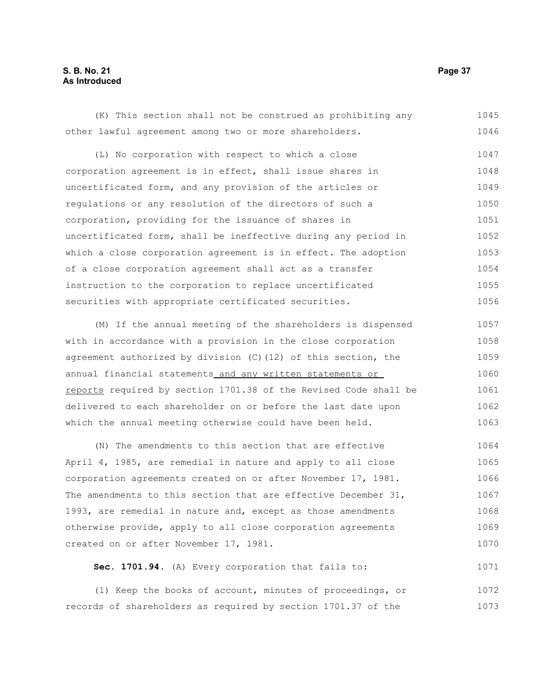### **S. B. No. 21 Page 37 As Introduced**

(K) This section shall not be construed as prohibiting any other lawful agreement among two or more shareholders. (L) No corporation with respect to which a close corporation agreement is in effect, shall issue shares in uncertificated form, and any provision of the articles or regulations or any resolution of the directors of such a corporation, providing for the issuance of shares in uncertificated form, shall be ineffective during any period in which a close corporation agreement is in effect. The adoption of a close corporation agreement shall act as a transfer instruction to the corporation to replace uncertificated securities with appropriate certificated securities. (M) If the annual meeting of the shareholders is dispensed with in accordance with a provision in the close corporation agreement authorized by division (C)(12) of this section, the 1045 1046 1047 1048 1049 1050 1051 1052 1053 1054 1055 1056 1057 1058 1059

annual financial statements and any written statements or reports required by section 1701.38 of the Revised Code shall be delivered to each shareholder on or before the last date upon which the annual meeting otherwise could have been held. 1060 1061 1062 1063

(N) The amendments to this section that are effective April 4, 1985, are remedial in nature and apply to all close corporation agreements created on or after November 17, 1981. The amendments to this section that are effective December 31, 1993, are remedial in nature and, except as those amendments otherwise provide, apply to all close corporation agreements created on or after November 17, 1981. 1064 1065 1066 1067 1068 1069 1070

**Sec. 1701.94.** (A) Every corporation that fails to: 1071

(1) Keep the books of account, minutes of proceedings, or records of shareholders as required by section 1701.37 of the 1072 1073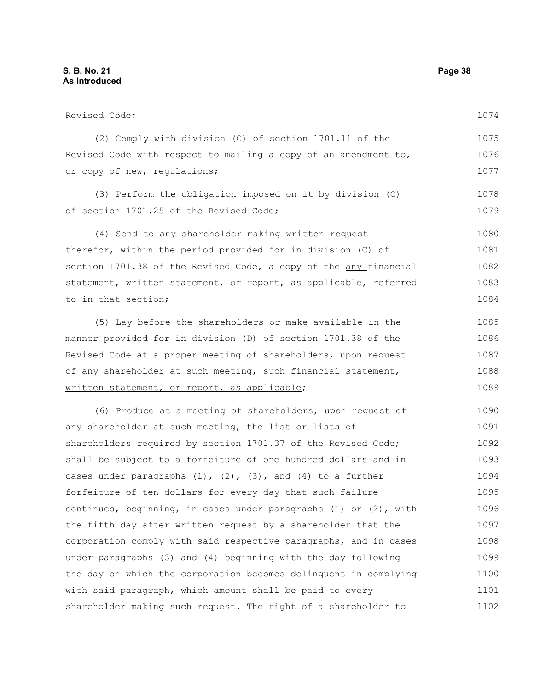Revised Code; (2) Comply with division (C) of section 1701.11 of the Revised Code with respect to mailing a copy of an amendment to, or copy of new, regulations; (3) Perform the obligation imposed on it by division (C) of section 1701.25 of the Revised Code; (4) Send to any shareholder making written request therefor, within the period provided for in division (C) of section  $1701.38$  of the Revised Code, a copy of  $the$ -any financial statement, written statement, or report, as applicable, referred to in that section; (5) Lay before the shareholders or make available in the manner provided for in division (D) of section 1701.38 of the Revised Code at a proper meeting of shareholders, upon request of any shareholder at such meeting, such financial statement, written statement, or report, as applicable; (6) Produce at a meeting of shareholders, upon request of any shareholder at such meeting, the list or lists of shareholders required by section 1701.37 of the Revised Code; shall be subject to a forfeiture of one hundred dollars and in cases under paragraphs  $(1)$ ,  $(2)$ ,  $(3)$ , and  $(4)$  to a further forfeiture of ten dollars for every day that such failure continues, beginning, in cases under paragraphs (1) or (2), with the fifth day after written request by a shareholder that the corporation comply with said respective paragraphs, and in cases under paragraphs (3) and (4) beginning with the day following the day on which the corporation becomes delinquent in complying with said paragraph, which amount shall be paid to every 1074 1075 1076 1077 1078 1079 1080 1081 1082 1083 1084 1085 1086 1087 1088 1089 1090 1091 1092 1093 1094 1095 1096 1097 1098 1099 1100 1101

shareholder making such request. The right of a shareholder to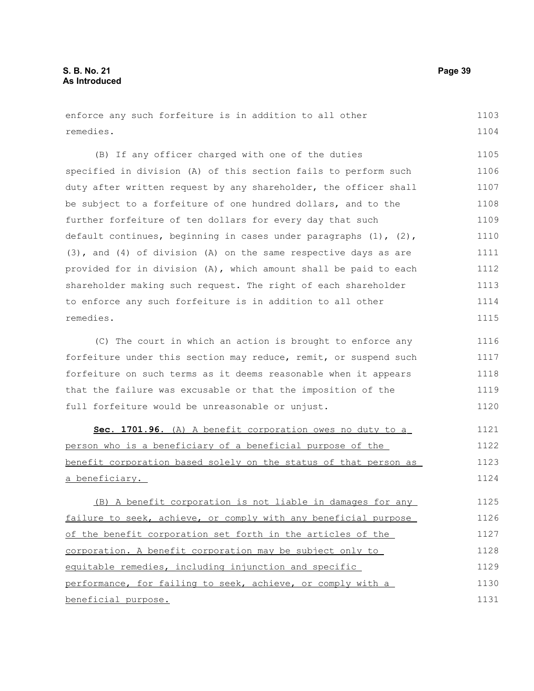enforce any such forfeiture is in addition to all other remedies. 1103 1104

(B) If any officer charged with one of the duties specified in division (A) of this section fails to perform such duty after written request by any shareholder, the officer shall be subject to a forfeiture of one hundred dollars, and to the further forfeiture of ten dollars for every day that such default continues, beginning in cases under paragraphs  $(1)$ ,  $(2)$ , (3), and (4) of division (A) on the same respective days as are provided for in division (A), which amount shall be paid to each shareholder making such request. The right of each shareholder to enforce any such forfeiture is in addition to all other remedies. 1105 1106 1107 1108 1109 1110 1111 1112 1113 1114 1115

(C) The court in which an action is brought to enforce any forfeiture under this section may reduce, remit, or suspend such forfeiture on such terms as it deems reasonable when it appears that the failure was excusable or that the imposition of the full forfeiture would be unreasonable or unjust. 1116 1117 1118 1119 1120

 **Sec. 1701.96.** (A) A benefit corporation owes no duty to a person who is a beneficiary of a beneficial purpose of the benefit corporation based solely on the status of that person as a beneficiary. 1121 1122 1123 1124

(B) A benefit corporation is not liable in damages for any failure to seek, achieve, or comply with any beneficial purpose of the benefit corporation set forth in the articles of the corporation. A benefit corporation may be subject only to equitable remedies, including injunction and specific performance, for failing to seek, achieve, or comply with a beneficial purpose. 1125 1126 1127 1128 1129 1130 1131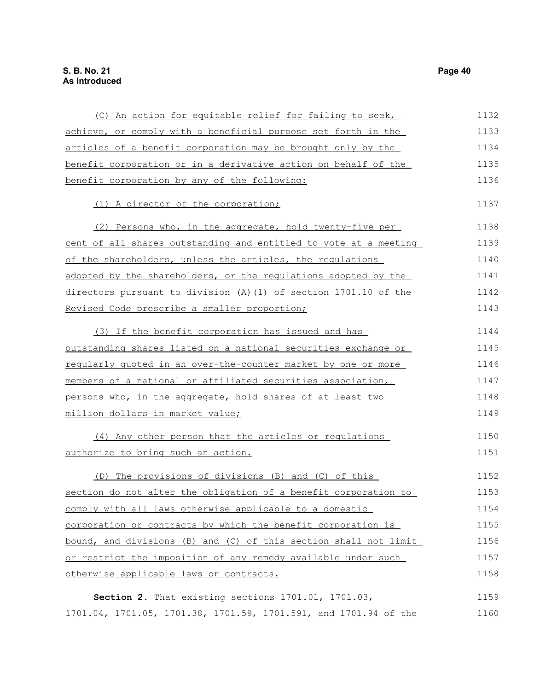| (C) An action for equitable relief for failing to seek,          | 1132 |
|------------------------------------------------------------------|------|
| achieve, or comply with a beneficial purpose set forth in the    | 1133 |
| articles of a benefit corporation may be brought only by the     | 1134 |
| benefit corporation or in a derivative action on behalf of the   | 1135 |
| benefit corporation by any of the following:                     | 1136 |
| (1) A director of the corporation;                               | 1137 |
| (2) Persons who, in the aggregate, hold twenty-five per          | 1138 |
| cent of all shares outstanding and entitled to vote at a meeting | 1139 |
| of the shareholders, unless the articles, the requlations        | 1140 |
| adopted by the shareholders, or the regulations adopted by the   | 1141 |
| directors pursuant to division (A) (1) of section 1701.10 of the | 1142 |
| Revised Code prescribe a smaller proportion;                     | 1143 |
| (3) If the benefit corporation has issued and has                | 1144 |
| outstanding shares listed on a national securities exchange or   | 1145 |
| regularly quoted in an over-the-counter market by one or more    | 1146 |
| members of a national or affiliated securities association,      | 1147 |
| persons who, in the aggregate, hold shares of at least two       | 1148 |
| million dollars in market value;                                 | 1149 |
| (4) Any other person that the articles or regulations            | 1150 |
| authorize to bring such an action.                               | 1151 |
| (D) The provisions of divisions (B) and (C) of this              | 1152 |
| section do not alter the obligation of a benefit corporation to  | 1153 |
| comply with all laws otherwise applicable to a domestic          | 1154 |
| corporation or contracts by which the benefit corporation is     | 1155 |
| bound, and divisions (B) and (C) of this section shall not limit | 1156 |
| or restrict the imposition of any remedy available under such    | 1157 |
| otherwise applicable laws or contracts.                          | 1158 |
| Section 2. That existing sections 1701.01, 1701.03,              | 1159 |
| 1701.04, 1701.05, 1701.38, 1701.59, 1701.591, and 1701.94 of the | 1160 |